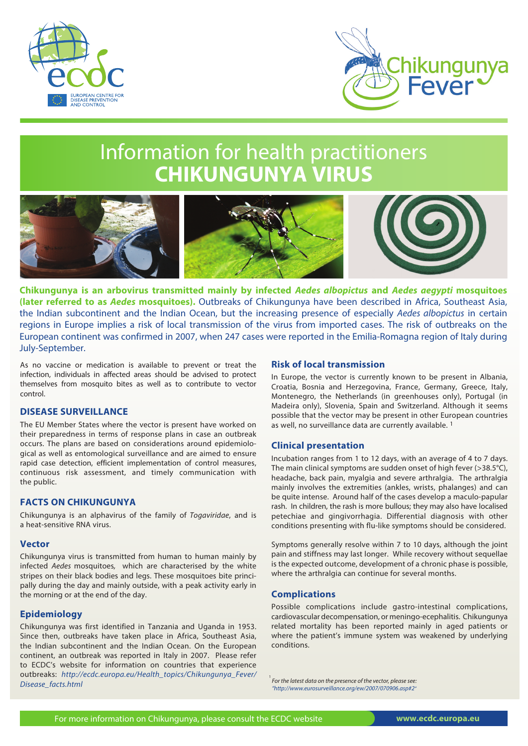



# Information for health practitioners **CHIKUNGUNYA VIRUS**



**Chikungunya is an arbovirus transmitted mainly by infected** *Aedes albopictus* **and** *Aedes aegypti* **mosquitoes (later referred to as** *Aedes* **mosquitoes).** Outbreaks of Chikungunya have been described in Africa, Southeast Asia, the Indian subcontinent and the Indian Ocean, but the increasing presence of especially *Aedes albopictus* in certain regions in Europe implies a risk of local transmission of the virus from imported cases. The risk of outbreaks on the European continent was confirmed in 2007, when 247 cases were reported in the Emilia-Romagna region of Italy during July-September.

As no vaccine or medication is available to prevent or treat the infection, individuals in affected areas should be advised to protect themselves from mosquito bites as well as to contribute to vector control.

## **DISEASE SURVEILLANCE**

The EU Member States where the vector is present have worked on their preparedness in terms of response plans in case an outbreak occurs. The plans are based on considerations around epidemiological as well as entomological surveillance and are aimed to ensure rapid case detection, efficient implementation of control measures, continuous risk assessment, and timely communication with the public.

### **FACTS ON CHIKUNGUNYA**

Chikungunya is an alphavirus of the family of *Togaviridae*, and is a heat-sensitive RNA virus.

#### **Vector**

Chikungunya virus is transmitted from human to human mainly by infected *Aedes* mosquitoes*,* which are characterised by the white stripes on their black bodies and legs. These mosquitoes bite principally during the day and mainly outside, with a peak activity early in the morning or at the end of the day.

### **Epidemiology**

Chikungunya was first identified in Tanzania and Uganda in 1953. Since then, outbreaks have taken place in Africa, Southeast Asia, the Indian subcontinent and the Indian Ocean. On the European continent, an outbreak was reported in Italy in 2007. Please refer to ECDC's website for information on countries that experience outbreaks: *http://ecdc.europa.eu/Health\_topics/Chikungunya\_Fever/ Disease\_facts.html*

## **Risk of local transmission**

In Europe, the vector is currently known to be present in Albania, Croatia, Bosnia and Herzegovina, France, Germany, Greece, Italy, Montenegro, the Netherlands (in greenhouses only), Portugal (in Madeira only), Slovenia, Spain and Switzerland. Although it seems possible that the vector may be present in other European countries as well, no surveillance data are currently available. 1

### **Clinical presentation**

Incubation ranges from 1 to 12 days, with an average of 4 to 7 days. The main clinical symptoms are sudden onset of high fever (>38.5°C), headache, back pain, myalgia and severe arthralgia. The arthralgia mainly involves the extremities (ankles, wrists, phalanges) and can be quite intense. Around half of the cases develop a maculo-papular rash. In children, the rash is more bullous; they may also have localised petechiae and gingivorrhagia. Differential diagnosis with other conditions presenting with flu-like symptoms should be considered.

Symptoms generally resolve within 7 to 10 days, although the joint pain and stiffness may last longer. While recovery without sequellae is the expected outcome, development of a chronic phase is possible, where the arthralgia can continue for several months.

### **Complications**

Possible complications include gastro-intestinal complications, cardiovascular decompensation, or meningo-ecephalitis. Chikungunya related mortality has been reported mainly in aged patients or where the patient's immune system was weakened by underlying conditions.

<sup>1</sup> For the latest data on the presence of the vector, please see. *"http://www.eurosurveillance.org/ew/2007/070906.asp#2"*